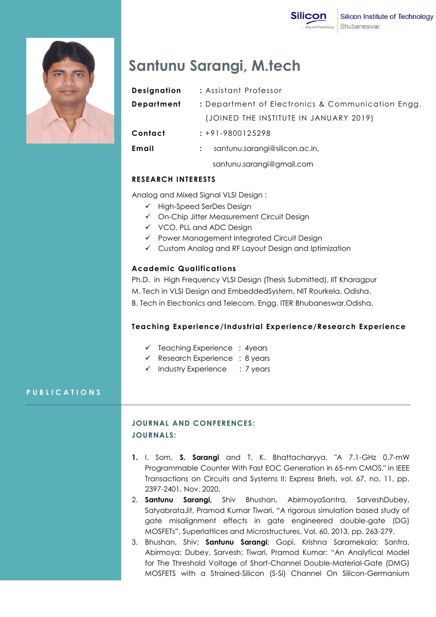

# **Santunu Sarangi, M.tech**

| <b>Designation</b> | : Assistant Professor                             |
|--------------------|---------------------------------------------------|
| <b>Department</b>  | : Department of Electronics & Communication Engg. |
|                    | (JOINED THE INSTITUTE IN JANUARY 2019)            |
| Contact            | $: +91 - 9800125298$                              |
| Email              | santunu.sarangi@silicon.ac.in,                    |
|                    | santunu.sarangi@gmail.com                         |

## **RESEARCH INTERESTS**

Analog and Mixed Signal VLSI Design :

- $\checkmark$  High-Speed SerDes Design
- On-Chip Jitter Measurement Circuit Design
- $\checkmark$  VCO, PLL and ADC Design
- Power Management Integrated Circuit Design
- Custom Analog and RF Layout Design and Iptimization

## **Academic Qualifications**

Ph.D. in High Frequency VLSI Design (Thesis Submitted), IIT Kharagpur M. Tech in VLSI Design and EmbeddedSystem, NIT Rourkela, Odisha. B. Tech in Electronics and Telecom. Engg, ITER Bhubaneswar,Odisha.

## **Teaching Experience/Industrial Experience/Research Experience**

- $\checkmark$  Teaching Experience : 4years
- $\checkmark$  Research Experience : 8 years
- $\checkmark$  Industry Experience : 7 years

## **P U B L I C A T I O N S**

# **JOURNAL AND CONFERENCES: JOURNALS:**

- **1.** I. Som, **S. Sarangi** and T. K. Bhattacharyya, "A 7.1-GHz 0.7-mW Programmable Counter With Fast EOC Generation in 65-nm CMOS," in IEEE Transactions on Circuits and Systems II: Express Briefs, vol. 67, no. 11, pp. 2397-2401, Nov. 2020,
- 2. **Santunu Sarangi,** Shiv Bhushan, AbirmoyaSantra, SarveshDubey, SatyabrataJit, Pramod Kumar Tiwari, "A rigorous simulation based study of gate misalignment effects in gate engineered double-gate (DG) MOSFETs", Superlattices and Microstructures, Vol. 60, 2013, pp. 263-279.
- 3. Bhushan, Shiv; **Santunu Sarangi**; Gopi, Krishna Saramekala; Santra, Abirmoya; Dubey, Sarvesh; Tiwari, Pramod Kumar; "An Analytical Model for The Threshold Voltage of Short-Channel Double-Material-Gate (DMG) MOSFETS with a Strained-Silicon (S-Si) Channel On Silicon-Germanium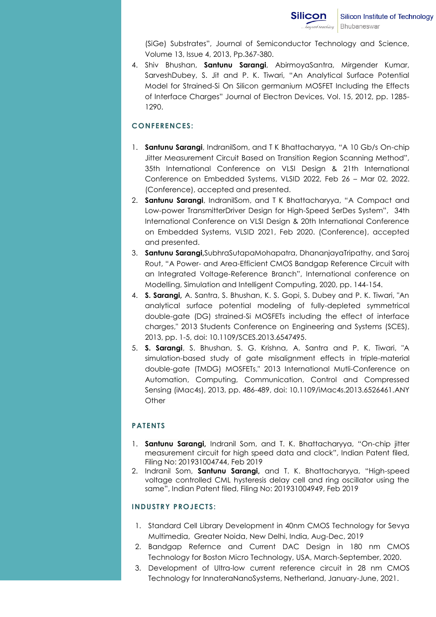(SiGe) Substrates", Journal of Semiconductor Technology and Science, Volume 13, Issue 4, 2013, Pp.367-380.

4. Shiv Bhushan, **Santunu Sarangi**, AbirmoyaSantra, Mirgender Kumar, SarveshDubey, S. Jit and P. K. Tiwari, "An Analytical Surface Potential Model for Strained-Si On Silicon germanium MOSFET Including the Effects of Interface Charges" Journal of Electron Devices, Vol. 15, 2012, pp. 1285- 1290.

## **CONFERENCES:**

- 1. **Santunu Sarangi**, IndranilSom, and T K Bhattacharyya, "A 10 Gb/s On-chip Jitter Measurement Circuit Based on Transition Region Scanning Method", 35th International Conference on VLSI Design & 21th International Conference on Embedded Systems, VLSID 2022, Feb 26 – Mar 02, 2022. (Conference), accepted and presented.
- 2. **Santunu Sarangi**, IndranilSom, and T K Bhattacharyya, "A Compact and Low-power TransmitterDriver Design for High-Speed SerDes System", 34th International Conference on VLSI Design & 20th International Conference on Embedded Systems, VLSID 2021, Feb 2020. (Conference), accepted and presented.
- 3. **Santunu Sarangi,**SubhraSutapaMohapatra, DhananjayaTripathy, and Saroj Rout, "A Power- and Area-Efficient CMOS Bandgap Reference Circuit with an Integrated Voltage-Reference Branch", International conference on Modelling, Simulation and Intelligent Computing, 2020, pp. 144-154.
- 4. **S. Sarangi,** A. Santra, S. Bhushan, K. S. Gopi, S. Dubey and P. K. Tiwari, "An analytical surface potential modeling of fully-depleted symmetrical double-gate (DG) strained-Si MOSFETs including the effect of interface charges," 2013 Students Conference on Engineering and Systems (SCES), 2013, pp. 1-5, doi: 10.1109/SCES.2013.6547495.
- 5. **S. Sarangi**, S. Bhushan, S. G. Krishna, A. Santra and P. K. Tiwari, "A simulation-based study of gate misalignment effects in triple-material double-gate (TMDG) MOSFETs," 2013 International Mutli-Conference on Automation, Computing, Communication, Control and Compressed Sensing (iMac4s), 2013, pp. 486-489, doi: 10.1109/iMac4s.2013.6526461.ANY **Other**

## **PATENTS**

- 1. **Santunu Sarangi,** Indranil Som, and T. K. Bhattacharyya, "On-chip jitter measurement circuit for high speed data and clock", Indian Patent filed, Filing No: 201931004744, Feb 2019
- 2. Indranil Som, **Santunu Sarangi,** and T. K. Bhattacharyya, "High-speed voltage controlled CML hysteresis delay cell and ring oscillator using the same", Indian Patent filed, Filing No: 201931004949, Feb 2019

## **INDUSTRY PROJECTS:**

- 1. Standard Cell Library Development in 40nm CMOS Technology for Sevya Multimedia, Greater Noida, New Delhi, India, Aug-Dec, 2019
- 2. Bandgap Refernce and Current DAC Design in 180 nm CMOS Technology for Boston Micro Technology, USA, March-September, 2020.
- 3. Development of Ultra-low current reference circuit in 28 nm CMOS Technology for InnateraNanoSystems, Netherland, January-June, 2021.